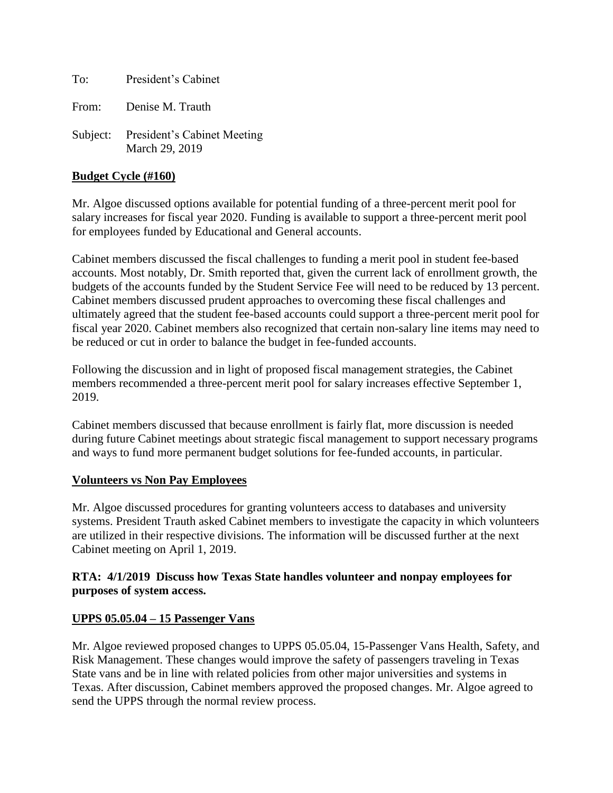To: President's Cabinet

From: Denise M. Trauth

Subject: President's Cabinet Meeting March 29, 2019

### **Budget Cycle (#160)**

Mr. Algoe discussed options available for potential funding of a three-percent merit pool for salary increases for fiscal year 2020. Funding is available to support a three-percent merit pool for employees funded by Educational and General accounts.

Cabinet members discussed the fiscal challenges to funding a merit pool in student fee-based accounts. Most notably, Dr. Smith reported that, given the current lack of enrollment growth, the budgets of the accounts funded by the Student Service Fee will need to be reduced by 13 percent. Cabinet members discussed prudent approaches to overcoming these fiscal challenges and ultimately agreed that the student fee-based accounts could support a three-percent merit pool for fiscal year 2020. Cabinet members also recognized that certain non-salary line items may need to be reduced or cut in order to balance the budget in fee-funded accounts.

Following the discussion and in light of proposed fiscal management strategies, the Cabinet members recommended a three-percent merit pool for salary increases effective September 1, 2019.

Cabinet members discussed that because enrollment is fairly flat, more discussion is needed during future Cabinet meetings about strategic fiscal management to support necessary programs and ways to fund more permanent budget solutions for fee-funded accounts, in particular.

#### **Volunteers vs Non Pay Employees**

Mr. Algoe discussed procedures for granting volunteers access to databases and university systems. President Trauth asked Cabinet members to investigate the capacity in which volunteers are utilized in their respective divisions. The information will be discussed further at the next Cabinet meeting on April 1, 2019.

### **RTA: 4/1/2019 Discuss how Texas State handles volunteer and nonpay employees for purposes of system access.**

### **UPPS 05.05.04 – 15 Passenger Vans**

Mr. Algoe reviewed proposed changes to UPPS 05.05.04, 15-Passenger Vans Health, Safety, and Risk Management. These changes would improve the safety of passengers traveling in Texas State vans and be in line with related policies from other major universities and systems in Texas. After discussion, Cabinet members approved the proposed changes. Mr. Algoe agreed to send the UPPS through the normal review process.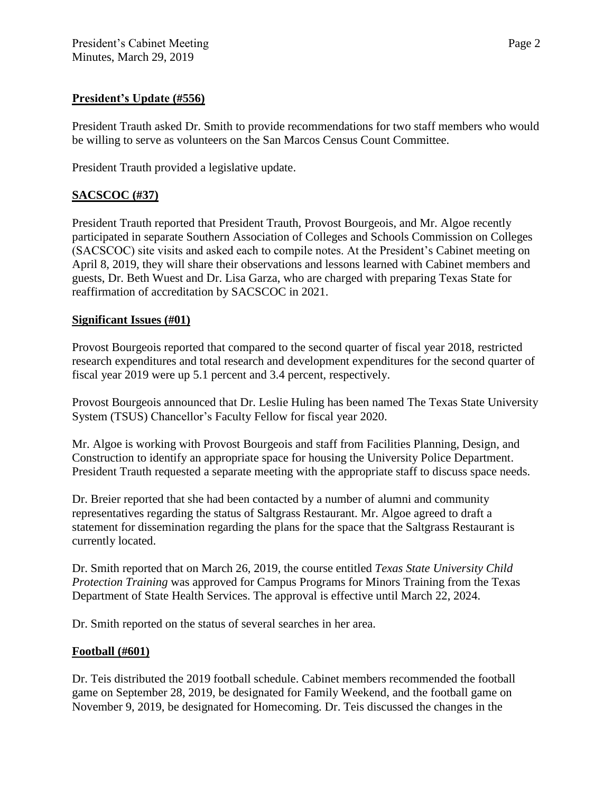## **President's Update (#556)**

President Trauth asked Dr. Smith to provide recommendations for two staff members who would be willing to serve as volunteers on the San Marcos Census Count Committee.

President Trauth provided a legislative update.

# **SACSCOC (#37)**

President Trauth reported that President Trauth, Provost Bourgeois, and Mr. Algoe recently participated in separate Southern Association of Colleges and Schools Commission on Colleges (SACSCOC) site visits and asked each to compile notes. At the President's Cabinet meeting on April 8, 2019, they will share their observations and lessons learned with Cabinet members and guests, Dr. Beth Wuest and Dr. Lisa Garza, who are charged with preparing Texas State for reaffirmation of accreditation by SACSCOC in 2021.

# **Significant Issues (#01)**

Provost Bourgeois reported that compared to the second quarter of fiscal year 2018, restricted research expenditures and total research and development expenditures for the second quarter of fiscal year 2019 were up 5.1 percent and 3.4 percent, respectively.

Provost Bourgeois announced that Dr. Leslie Huling has been named The Texas State University System (TSUS) Chancellor's Faculty Fellow for fiscal year 2020.

Mr. Algoe is working with Provost Bourgeois and staff from Facilities Planning, Design, and Construction to identify an appropriate space for housing the University Police Department. President Trauth requested a separate meeting with the appropriate staff to discuss space needs.

Dr. Breier reported that she had been contacted by a number of alumni and community representatives regarding the status of Saltgrass Restaurant. Mr. Algoe agreed to draft a statement for dissemination regarding the plans for the space that the Saltgrass Restaurant is currently located.

Dr. Smith reported that on March 26, 2019, the course entitled *Texas State University Child Protection Training* was approved for Campus Programs for Minors Training from the Texas Department of State Health Services. The approval is effective until March 22, 2024.

Dr. Smith reported on the status of several searches in her area.

### **Football (#601)**

Dr. Teis distributed the 2019 football schedule. Cabinet members recommended the football game on September 28, 2019, be designated for Family Weekend, and the football game on November 9, 2019, be designated for Homecoming. Dr. Teis discussed the changes in the